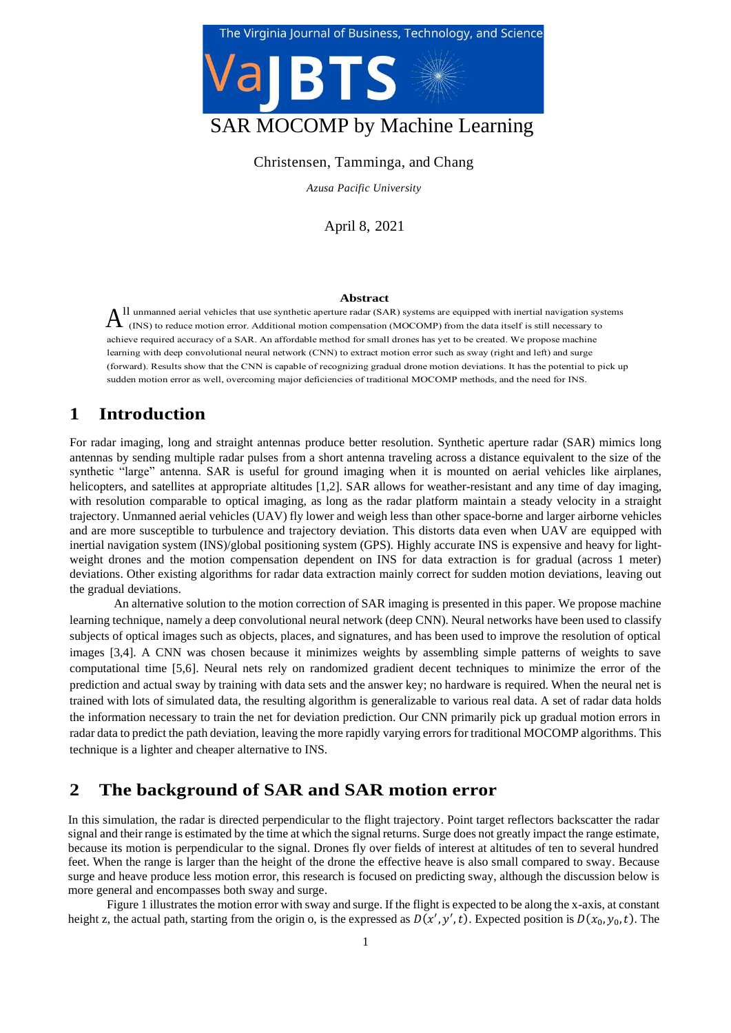

#### Christensen, Tamminga, and Chang

*Azusa Pacific University*

April 8, 2021

#### **Abstract**

 $A<sup>ll</sup>$  unmanned aerial vehicles that use synthetic aperture radar (SAR) systems are equipped with inertial navigation systems of (INS) to reduce motion error. Additional motion compensation (MOCOMP) from the data itse achieve required accuracy of a SAR. An affordable method for small drones has yet to be created. We propose machine<br>learning with deep convolutional neural network (CNN) to extract motion error such as sway (right and left (forward). Results show that the CNN is capable of recognizing gradual drone motion deviations. It has the potential to pick up sudden motion error as well, overcoming major deficiencies of traditional MOCOMP methods, and ll unmanned aerial vehicles that use synthetic aperture radar (SAR) systems are equipped with inertial navigation systems achieve required accuracy of a SAR. An affordable method for small drones has yet to be created. We propose machine sudden motion error as well, overcoming major deficiencies of traditional MOCOMP methods, and the need for INS.

# fb **1 Introduction**

kd For radar imaging, long and straight antennas produce better resolution. Synthetic aperture radar (SAR) mimics long for antennas by sending multiple radar pulses from a short antenna traveling across a distance equivalent to the size of the sending multiple radar pulses from a short antenna traveling across a distance equivalent to the for the licopters, and satellites at appropriate altitudes [1,2]. SAR allows for weather-resistant and any time of day imaging, while resolution comparable to optical maging, as long as the radar platform maintain a steady velocity in a straight trajectory. Unmanned aerial vehicles (UAV) fly lower and weigh less than other space-borne and larger ai synthetic "large" antenna. SAR is useful for ground imaging when it is mounted on aerial vehicles like airplanes, with resolution comparable to optical imaging, as long as the radar platform maintain a steady velocity in a straight and are more susceptible to turbulence and trajectory deviation. This distorts data even when UAV are equipped with inertial navigation system (INS)/global positioning system (GPS). Highly accurate INS is expensive and heavy for lightweight drones and the motion compensation dependent on INS for data extraction is for gradual (across 1 meter) deviations. Other existing algorithms for radar data extraction mainly correct for sudden motion deviations, leaving out the gradual deviations.

An alternative solution to the motion correction of SAR imaging is presented in this paper. We propose machine learning technique, namely a deep convolutional neural network (deep CNN). Neural networks have been used to classify subjects of optical images such as objects, places, and signatures, and has been used to improve the resolution of optical images [3,4]. A CNN was chosen because it minimizes weights by assembling simple patterns of weights to save computational time [5,6]. Neural nets rely on randomized gradient decent techniques to minimize the error of the prediction and actual sway by training with data sets and the answer key; no hardware is required. When the neural net is trained with lots of simulated data, the resulting algorithm is generalizable to various real data. A set of radar data holds the information necessary to train the net for deviation prediction. Our CNN primarily pick up gradual motion errors in radar data to predict the path deviation, leaving the more rapidly varying errors for traditional MOCOMP algorithms. This technique is a lighter and cheaper alternative to INS.

#### **2 The background of SAR and SAR motion error**

In this simulation, the radar is directed perpendicular to the flight trajectory. Point target reflectors backscatter the radar signal and their range is estimated by the time at which the signal returns. Surge does not greatly impact the range estimate, because its motion is perpendicular to the signal. Drones fly over fields of interest at altitudes of ten to several hundred feet. When the range is larger than the height of the drone the effective heave is also small compared to sway. Because surge and heave produce less motion error, this research is focused on predicting sway, although the discussion below is more general and encompasses both sway and surge.

Figure 1 illustrates the motion error with sway and surge. If the flight is expected to be along the x-axis, at constant height z, the actual path, starting from the origin o, is the expressed as  $D(x', y', t)$ . Expected position is  $D(x_0, y_0, t)$ . The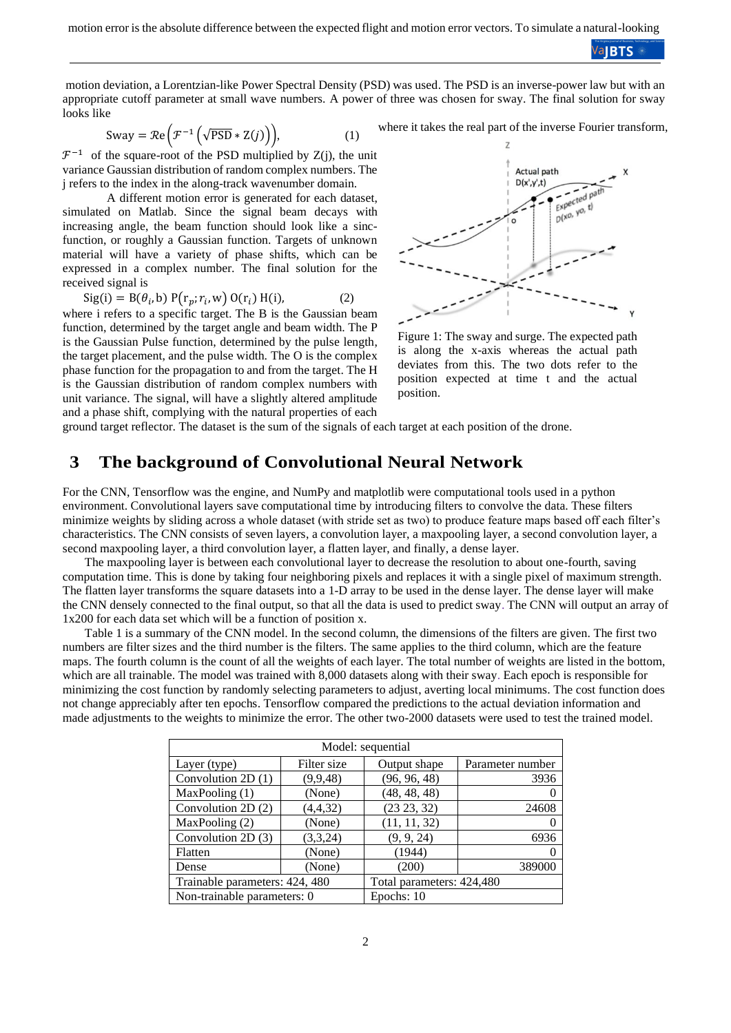**ValBTS** 

motion deviation, a Lorentzian-like Power Spectral Density (PSD) was used. The PSD is an inverse-power law but with an appropriate cutoff parameter at small wave numbers. A power of three was chosen for sway. The final solution for sway looks like

$$
Sway = \mathcal{R}e\left(\mathcal{F}^{-1}\left(\sqrt{PSD} * Z(j)\right)\right),\tag{1}
$$

 $\mathcal{F}^{-1}$  of the square-root of the PSD multiplied by Z(j), the unit variance Gaussian distribution of random complex numbers. The j refers to the index in the along-track wavenumber domain.

A different motion error is generated for each dataset, simulated on Matlab. Since the signal beam decays with increasing angle, the beam function should look like a sincfunction, or roughly a Gaussian function. Targets of unknown material will have a variety of phase shifts, which can be expressed in a complex number. The final solution for the received signal is

$$
Sig(i) = B(\theta_i, b) P(r_p; r_i, w) O(r_i) H(i),
$$
 (2)

where i refers to a specific target. The B is the Gaussian beam function, determined by the target angle and beam width. The P is the Gaussian Pulse function, determined by the pulse length, the target placement, and the pulse width. The O is the complex phase function for the propagation to and from the target. The H is the Gaussian distribution of random complex numbers with unit variance. The signal, will have a slightly altered amplitude and a phase shift, complying with the natural properties of each





Figure 1: The sway and surge. The expected path is along the x-axis whereas the actual path deviates from this. The two dots refer to the position expected at time t and the actual position.

ground target reflector. The dataset is the sum of the signals of each target at each position of the drone.

#### **3 The background of Convolutional Neural Network**

For the CNN, Tensorflow was the engine, and NumPy and matplotlib were computational tools used in a python environment. Convolutional layers save computational time by introducing filters to convolve the data. These filters minimize weights by sliding across a whole dataset (with stride set as two) to produce feature maps based off each filter's characteristics. The CNN consists of seven layers, a convolution layer, a maxpooling layer, a second convolution layer, a second maxpooling layer, a third convolution layer, a flatten layer, and finally, a dense layer.

The maxpooling layer is between each convolutional layer to decrease the resolution to about one-fourth, saving computation time. This is done by taking four neighboring pixels and replaces it with a single pixel of maximum strength. The flatten layer transforms the square datasets into a 1-D array to be used in the dense layer. The dense layer will make the CNN densely connected to the final output, so that all the data is used to predict sway. The CNN will output an array of 1x200 for each data set which will be a function of position x.

Table 1 is a summary of the CNN model. In the second column, the dimensions of the filters are given. The first two numbers are filter sizes and the third number is the filters. The same applies to the third column, which are the feature maps. The fourth column is the count of all the weights of each layer. The total number of weights are listed in the bottom, which are all trainable. The model was trained with 8,000 datasets along with their sway. Each epoch is responsible for minimizing the cost function by randomly selecting parameters to adjust, averting local minimums. The cost function does not change appreciably after ten epochs. Tensorflow compared the predictions to the actual deviation information and made adjustments to the weights to minimize the error. The other two-2000 datasets were used to test the trained model.

| Model: sequential              |             |                           |                  |
|--------------------------------|-------------|---------------------------|------------------|
| Layer (type)                   | Filter size | Output shape              | Parameter number |
| Convolution 2D(1)              | (9,9,48)    | (96, 96, 48)              | 3936             |
| MaxPooling (1)                 | (None)      | (48, 48, 48)              |                  |
| Convolution 2D (2)             | (4,4,32)    | (23 23, 32)               | 24608            |
| MaxPooling (2)                 | (None)      | (11, 11, 32)              |                  |
| Convolution 2D (3)             | (3,3,24)    | (9, 9, 24)                | 6936             |
| Flatten                        | (None)      | (1944)                    |                  |
| Dense                          | (None)      | (200)                     | 389000           |
| Trainable parameters: 424, 480 |             | Total parameters: 424,480 |                  |
| Non-trainable parameters: 0    |             | Epochs: 10                |                  |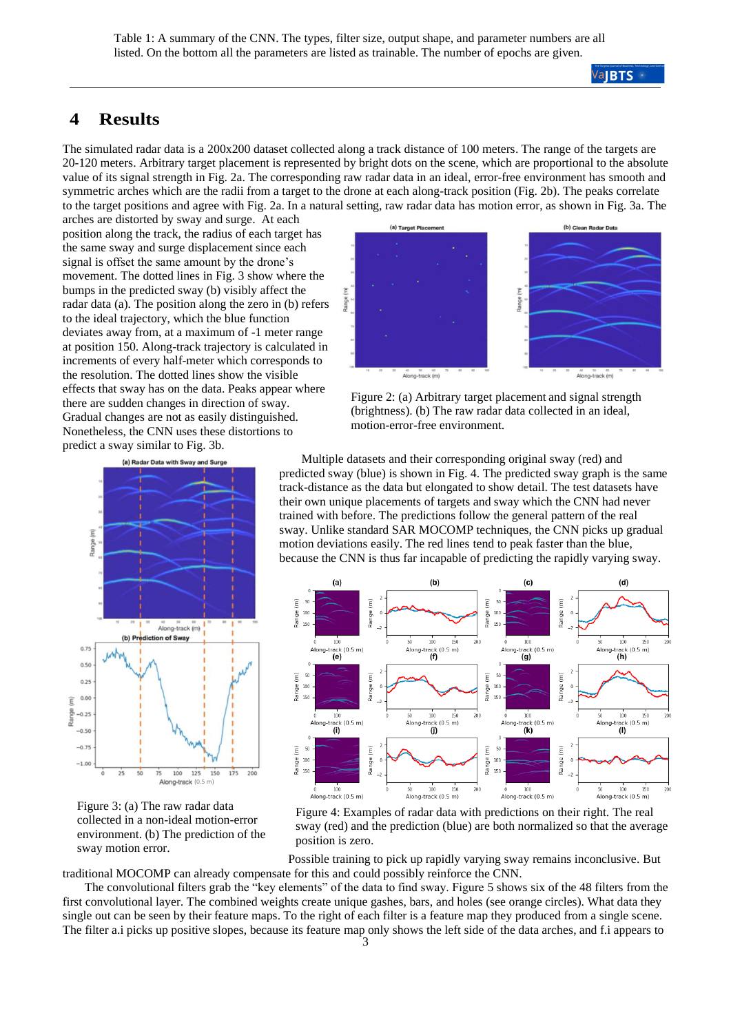## **4 Results**

The simulated radar data is a 200x200 dataset collected along a track distance of 100 meters. The range of the targets are 20-120 meters. Arbitrary target placement is represented by bright dots on the scene, which are proportional to the absolute value of its signal strength in Fig. 2a. The corresponding raw radar data in an ideal, error-free environment has smooth and symmetric arches which are the radii from a target to the drone at each along-track position (Fig. 2b). The peaks correlate to the target positions and agree with Fig. 2a. In a natural setting, raw radar data has motion error, as shown in Fig. 3a. The

arches are distorted by sway and surge. At each position along the track, the radius of each target has the same sway and surge displacement since each signal is offset the same amount by the drone's movement. The dotted lines in Fig. 3 show where the bumps in the predicted sway (b) visibly affect the radar data (a). The position along the zero in (b) refers to the ideal trajectory, which the blue function deviates away from, at a maximum of -1 meter range at position 150. Along-track trajectory is calculated in increments of every half-meter which corresponds to the resolution. The dotted lines show the visible effects that sway has on the data. Peaks appear where there are sudden changes in direction of sway. Gradual changes are not as easily distinguished. Nonetheless, the CNN uses these distortions to predict a sway similar to Fig. 3b.



Figure 3: (a) The raw radar data collected in a non-ideal motion-error environment. (b) The prediction of the sway motion error.



Figure 2: (a) Arbitrary target placement and signal strength (brightness). (b) The raw radar data collected in an ideal, motion-error-free environment.

Multiple datasets and their corresponding original sway (red) and predicted sway (blue) is shown in Fig. 4. The predicted sway graph is the same track-distance as the data but elongated to show detail. The test datasets have their own unique placements of targets and sway which the CNN had never trained with before. The predictions follow the general pattern of the real sway. Unlike standard SAR MOCOMP techniques, the CNN picks up gradual motion deviations easily. The red lines tend to peak faster than the blue, because the CNN is thus far incapable of predicting the rapidly varying sway.



Figure 4: Examples of radar data with predictions on their right. The real sway (red) and the prediction (blue) are both normalized so that the average position is zero.

Possible training to pick up rapidly varying sway remains inconclusive. But traditional MOCOMP can already compensate for this and could possibly reinforce the CNN.

The convolutional filters grab the "key elements" of the data to find sway. Figure 5 shows six of the 48 filters from the first convolutional layer. The combined weights create unique gashes, bars, and holes (see orange circles). What data they single out can be seen by their feature maps. To the right of each filter is a feature map they produced from a single scene. The filter a.i picks up positive slopes, because its feature map only shows the left side of the data arches, and f.i appears to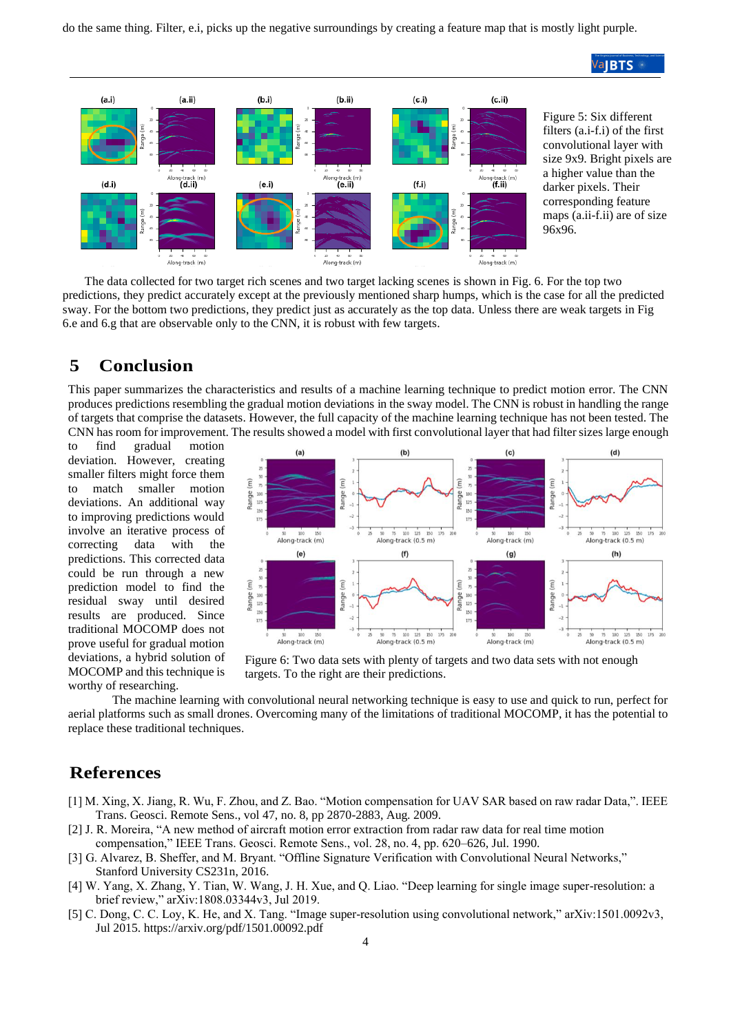do the same thing. Filter, e.i, picks up the negative surroundings by creating a feature map that is mostly light purple.



The data collected for two target rich scenes and two target lacking scenes is shown in Fig. 6. For the top two predictions, they predict accurately except at the previously mentioned sharp humps, which is the case for all the predicted sway. For the bottom two predictions, they predict just as accurately as the top data. Unless there are weak targets in Fig 6.e and 6.g that are observable only to the CNN, it is robust with few targets.

## **5 Conclusion**

This paper summarizes the characteristics and results of a machine learning technique to predict motion error. The CNN produces predictions resembling the gradual motion deviations in the sway model. The CNN is robust in handling the range of targets that comprise the datasets. However, the full capacity of the machine learning technique has not been tested. The CNN has room for improvement. The results showed a model with first convolutional layer that had filter sizes large enough

to find gradual motion deviation. However, creating smaller filters might force them to match smaller motion deviations. An additional way to improving predictions would involve an iterative process of correcting data with the predictions. This corrected data could be run through a new prediction model to find the residual sway until desired results are produced. Since traditional MOCOMP does not prove useful for gradual motion deviations, a hybrid solution of MOCOMP and this technique is worthy of researching.



Figure 6: Two data sets with plenty of targets and two data sets with not enough targets. To the right are their predictions.

The machine learning with convolutional neural networking technique is easy to use and quick to run, perfect for aerial platforms such as small drones. Overcoming many of the limitations of traditional MOCOMP, it has the potential to replace these traditional techniques.

#### **References**

- [1] M. Xing, X. Jiang, R. Wu, F. Zhou, and Z. Bao. "Motion compensation for UAV SAR based on raw radar Data,". IEEE Trans. Geosci. Remote Sens., vol 47, no. 8, pp 2870-2883, Aug. 2009.
- [2] J. R. Moreira, "A new method of aircraft motion error extraction from radar raw data for real time motion compensation," IEEE Trans. Geosci. Remote Sens., vol. 28, no. 4, pp. 620–626, Jul. 1990.
- [3] G. Alvarez, B. Sheffer, and M. Bryant. "Offline Signature Verification with Convolutional Neural Networks," Stanford University CS231n, 2016.
- [4] W. Yang, X. Zhang, Y. Tian, W. Wang, J. H. Xue, and Q. Liao. "Deep learning for single image super-resolution: a brief review," arXiv:1808.03344v3, Jul 2019.
- [5] C. Dong, C. C. Loy, K. He, and X. Tang. "Image super-resolution using convolutional network," arXiv:1501.0092v3, Jul 2015.<https://arxiv.org/pdf/1501.00092.pdf>